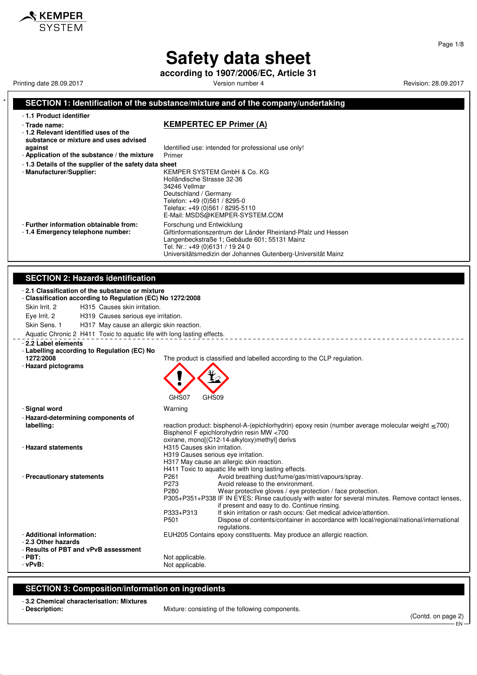**according to 1907/2006/EC, Article 31**

Printing date 28.09.2017 The Superintial Section 1 Network of Version number 4 Revision: 28.09.2017 Printing date 28.09.2017

**S** KEMPER

#### **SECTION 1: Identification of the substance/mixture and of the company/undertaking** - **1.1 Product identifier** - **Trade name: KEMPERTEC EP Primer (A)** - **1.2 Relevant identified uses of the substance or mixture and uses advised against against Identified use: intended for professional use only!**<br>**Application of the substance / the mixture** Primer - Application of the substance / the mixture - **1.3 Details of the supplier of the safety data sheet** - **Manufacturer/Supplier:** KEMPER SYSTEM GmbH & Co. KG Holländische Strasse 32-36 34246 Vellmar Deutschland / Germany Telefon: +49 (0)561 / 8295-0 Telefax: +49 (0)561 / 8295-5110 E-Mail: MSDS@KEMPER-SYSTEM.COM - **Further information obtainable from:** Forschung und Entwicklung<br>- 1.4 **Emergency telephone number:** Giftinformationszentrum der Giftinformationszentrum der Länder Rheinland-Pfalz und Hessen Langenbeckstraße 1; Gebäude 601; 55131 Mainz Tel. Nr.: +49 (0)6131 / 19 24 0 Universitätsmedizin der Johannes Gutenberg-Universität Mainz **SECTION 2: Hazards identification** - **2.1 Classification of the substance or mixture** - **Classification according to Regulation (EC) No 1272/2008** Skin Irrit. 2 H315 Causes skin irritation. Eye Irrit. 2 H319 Causes serious eye irritation. Skin Sens. 1 H317 May cause an allergic skin reaction. Aquatic Chronic 2 H411 Toxic to aquatic life with long lasting effects. \_\_\_\_\_\_\_\_\_\_\_\_\_\_\_\_\_ - **2.2 Label elements** - **Labelling according to Regulation (EC) No 1272/2008** The product is classified and labelled according to the CLP regulation. - **Hazard pictograms** GHS07 GHS09 - **Signal word** Warning - **Hazard-determining components of labelling:** reaction product: bisphenol-A-(epichlorhydrin) epoxy resin (number average molecular weight ≤ 700) Bisphenol F epichlorohydrin resin MW <700 oxirane, mono[(C12-14-alkyloxy)methyl] derivs - **Hazard statements H315 Causes skin irritation.** H319 Causes serious eye irritation. H317 May cause an allergic skin reaction. H411 Toxic to aquatic life with long lasting effects. - **Precautionary statements P261** Avoid breathing dust/fume/gas/mist/vapours/spray.<br>P273 Avoid release to the environment. P273 Avoid release to the environment.<br>P280 Wear protective gloves / eye prote Wear protective gloves / eye protection / face protection. P305+P351+P338 IF IN EYES: Rinse cautiously with water for several minutes. Remove contact lenses, if present and easy to do. Continue rinsing. P333+P313 If skin irritation or rash occurs: Get medical advice/attention.<br>P501 Dispose of contents/container in accordance with local/regio Dispose of contents/container in accordance with local/regional/national/international regulations. - **Additional information:** EUH205 Contains epoxy constituents. May produce an allergic reaction. - **2.3 Other hazards** - **Results of PBT and vPvB assessment** - **PBT:**<br>
- **vPvB:**<br>
- **vPvB:** Not applicable. Not applicable.

#### **SECTION 3: Composition/information on ingredients**

- **3.2 Chemical characterisation: Mixtures**
- 

Mixture: consisting of the following components.

EN

Page 1/8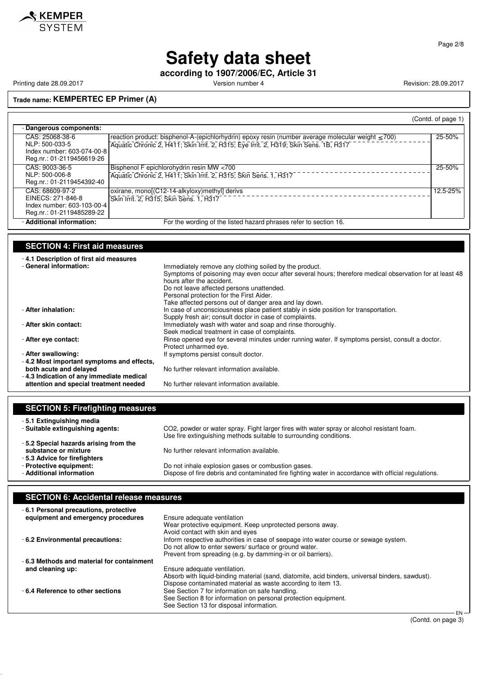

Page 2/8

## **Safety data sheet**

**according to 1907/2006/EC, Article 31**

Printing date 28.09.2017 **Version number 4** Version number 4 Revision: 28.09.2017

**Trade name: KEMPERTEC EP Primer (A)**

|                                                                                                 |                                                                                                                                                                                                  | (Contd. of page 1) |
|-------------------------------------------------------------------------------------------------|--------------------------------------------------------------------------------------------------------------------------------------------------------------------------------------------------|--------------------|
| - Dangerous components:                                                                         |                                                                                                                                                                                                  |                    |
| CAS: 25068-38-6<br>NLP: 500-033-5<br>Index number: 603-074-00-8<br>Reg.nr.: 01-2119456619-26    | reaction product: bisphenol-A-(epichlorhydrin) epoxy resin (number average molecular weight $\leq$ 700)<br>Aquatic Chronic 2, H411; Skin Irrit. 2, H315; Eye Irrit. 2, H319; Skin Sens. 1B, H317 | 25-50%             |
| CAS: 9003-36-5<br>NLP: 500-006-8<br>Reg.nr.: 01-2119454392-40                                   | Bisphenol F epichlorohydrin resin MW <700<br>Aquatic Chronic 2, H411; Skin Irrit. 2, H315; Skin Sens. 1, H317                                                                                    | 25-50%             |
| CAS: 68609-97-2<br>EINECS: 271-846-8<br>Index number: 603-103-00-4<br>Reg.nr.: 01-2119485289-22 | oxirane, mono[(C12-14-alkyloxy)methyl] derivs<br>Skin Irrit. 2, H315; Skin Sens. 1, H317                                                                                                         | 12.5-25%           |
| - Additional information:                                                                       | For the wording of the listed hazard phrases refer to section 16.                                                                                                                                |                    |

### **SECTION 4: First aid measures**

| -4.1 Description of first aid measures    |                                                                                                         |
|-------------------------------------------|---------------------------------------------------------------------------------------------------------|
| - General information:                    | Immediately remove any clothing soiled by the product.                                                  |
|                                           | Symptoms of poisoning may even occur after several hours; therefore medical observation for at least 48 |
|                                           | hours after the accident.                                                                               |
|                                           | Do not leave affected persons unattended.                                                               |
|                                           | Personal protection for the First Aider.                                                                |
|                                           | Take affected persons out of danger area and lay down.                                                  |
| - After inhalation:                       | In case of unconsciousness place patient stably in side position for transportation.                    |
|                                           | Supply fresh air; consult doctor in case of complaints.                                                 |
| - After skin contact:                     | Immediately wash with water and soap and rinse thoroughly.                                              |
|                                           | Seek medical treatment in case of complaints.                                                           |
| - After eye contact:                      | Rinse opened eye for several minutes under running water. If symptoms persist, consult a doctor.        |
|                                           | Protect unharmed eye.                                                                                   |
| - After swallowing:                       | If symptoms persist consult doctor.                                                                     |
| -4.2 Most important symptoms and effects, |                                                                                                         |
| both acute and delayed                    | No further relevant information available.                                                              |
| -4.3 Indication of any immediate medical  |                                                                                                         |
| attention and special treatment needed    | No further relevant information available.                                                              |

| <b>SECTION 5: Firefighting measures</b>                                                       |                                                                                                      |
|-----------------------------------------------------------------------------------------------|------------------------------------------------------------------------------------------------------|
| -5.1 Extinguishing media                                                                      | CO2, powder or water spray. Fight larger fires with water spray or alcohol resistant foam.           |
| - Suitable extinguishing agents:                                                              | Use fire extinguishing methods suitable to surrounding conditions.                                   |
| -5.2 Special hazards arising from the<br>substance or mixture<br>-5.3 Advice for firefighters | No further relevant information available.                                                           |
| - Protective equipment:                                                                       | Do not inhale explosion gases or combustion gases.                                                   |
| - Additional information                                                                      | Dispose of fire debris and contaminated fire fighting water in accordance with official regulations. |

## **SECTION 6: Accidental release measures**

| -6.1 Personal precautions, protective<br>equipment and emergency procedures | Ensure adequate ventilation                                                                                                                    |            |
|-----------------------------------------------------------------------------|------------------------------------------------------------------------------------------------------------------------------------------------|------------|
|                                                                             | Wear protective equipment. Keep unprotected persons away.<br>Avoid contact with skin and eyes                                                  |            |
| - 6.2 Environmental precautions:                                            | Inform respective authorities in case of seepage into water course or sewage system.<br>Do not allow to enter sewers/ surface or ground water. |            |
|                                                                             | Prevent from spreading (e.g. by damming-in or oil barriers).                                                                                   |            |
| -6.3 Methods and material for containment                                   |                                                                                                                                                |            |
| and cleaning up:                                                            | Ensure adequate ventilation.                                                                                                                   |            |
|                                                                             | Absorb with liquid-binding material (sand, diatomite, acid binders, universal binders, sawdust).                                               |            |
|                                                                             | Dispose contaminated material as waste according to item 13.                                                                                   |            |
| -6.4 Reference to other sections                                            | See Section 7 for information on safe handling.                                                                                                |            |
|                                                                             | See Section 8 for information on personal protection equipment.                                                                                |            |
|                                                                             | See Section 13 for disposal information.                                                                                                       |            |
|                                                                             |                                                                                                                                                | <b>CAL</b> |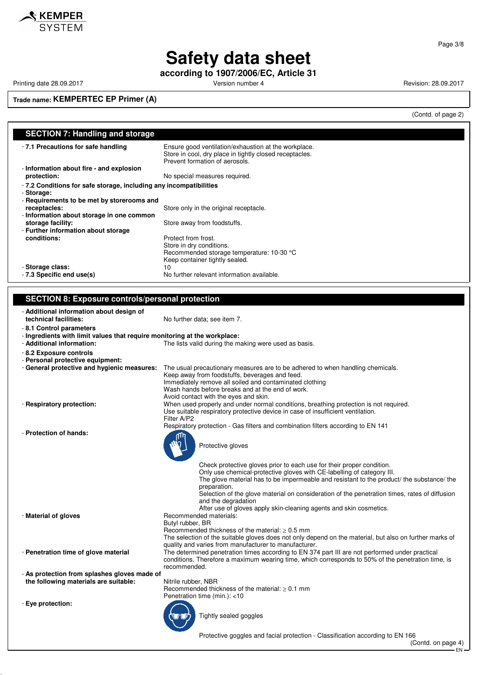

**according to 1907/2006/EC, Article 31**

Printing date 28.09.2017 **Version number 4** Version number 4 Revision: 28.09.2017

**Trade name: KEMPERTEC EP Primer (A)**

(Contd. of page 2)

| <b>SECTION 7: Handling and storage</b>                                    |                                                                                                                                                   |
|---------------------------------------------------------------------------|---------------------------------------------------------------------------------------------------------------------------------------------------|
| - 7.1 Precautions for safe handling                                       | Ensure good ventilation/exhaustion at the workplace.<br>Store in cool, dry place in tightly closed receptacles.<br>Prevent formation of aerosols. |
| - Information about fire - and explosion                                  |                                                                                                                                                   |
| protection:                                                               | No special measures required.                                                                                                                     |
| - 7.2 Conditions for safe storage, including any incompatibilities        |                                                                                                                                                   |
| - Storage:                                                                |                                                                                                                                                   |
| - Requirements to be met by storerooms and                                |                                                                                                                                                   |
| receptacles:                                                              | Store only in the original receptacle.                                                                                                            |
| - Information about storage in one common                                 |                                                                                                                                                   |
| storage facility:                                                         | Store away from foodstuffs.                                                                                                                       |
| - Further information about storage                                       |                                                                                                                                                   |
| conditions:                                                               | Protect from frost.                                                                                                                               |
|                                                                           | Store in dry conditions.                                                                                                                          |
|                                                                           | Recommended storage temperature: 10-30 °C                                                                                                         |
|                                                                           | Keep container tightly sealed.                                                                                                                    |
| - Storage class:                                                          | 10                                                                                                                                                |
| - 7.3 Specific end use(s)                                                 | No further relevant information available.                                                                                                        |
|                                                                           |                                                                                                                                                   |
|                                                                           |                                                                                                                                                   |
| <b>SECTION 8: Exposure controls/personal protection</b>                   |                                                                                                                                                   |
| - Additional information about design of                                  |                                                                                                                                                   |
| technical facilities:                                                     | No further data; see item 7.                                                                                                                      |
| - 8.1 Control parameters                                                  |                                                                                                                                                   |
| - Ingredients with limit values that require monitoring at the workplace: |                                                                                                                                                   |
| - Additional information:                                                 | The lists valid during the making were used as basis.                                                                                             |
|                                                                           |                                                                                                                                                   |
| - 8.2 Exposure controls                                                   |                                                                                                                                                   |
| - Personal protective equipment:                                          |                                                                                                                                                   |
| - General protective and hygienic measures:                               | The usual precautionary measures are to be adhered to when handling chemicals.<br>Keep away from foodstuffs, beverages and feed.                  |
|                                                                           | Immediately remove all soiled and contaminated clothing                                                                                           |
|                                                                           | Wash hands before breaks and at the end of work.                                                                                                  |
|                                                                           | Avoid contact with the eyes and skin.                                                                                                             |
| - Respiratory protection:                                                 | When used properly and under normal conditions, breathing protection is not required.                                                             |
|                                                                           | Use suitable respiratory protective device in case of insufficient ventilation.                                                                   |
|                                                                           | Filter A/P2                                                                                                                                       |
|                                                                           | Respiratory protection - Gas filters and combination filters according to EN 141                                                                  |
| - Protection of hands:                                                    |                                                                                                                                                   |
|                                                                           | Protective gloves                                                                                                                                 |
|                                                                           | Check protective gloves prior to each use for their proper condition.                                                                             |
|                                                                           | Only use chemical-protective gloves with CE-labelling of category III.                                                                            |
|                                                                           | The glove material has to be impermeable and resistant to the product the substance the                                                           |
|                                                                           | preparation.                                                                                                                                      |
|                                                                           | Selection of the glove material on consideration of the penetration times, rates of diffusion                                                     |
|                                                                           | and the degradation                                                                                                                               |
|                                                                           | After use of gloves apply skin-cleaning agents and skin cosmetics.                                                                                |
| - Material of gloves                                                      | Recommended materials:                                                                                                                            |
|                                                                           | Butyl rubber, BR                                                                                                                                  |
|                                                                           | Recommended thickness of the material: $\geq 0.5$ mm                                                                                              |

- **Penetration time of glove material** The determined penetration times according to EN 374 part III are not performed under practical

- **As protection from splashes gloves made of** the following materials are suitable: Nitrile rubber, NBR

- **Eye protection:**

Penetration time (min.): <10

recommended.

Tightly sealed goggles

Recommended thickness of the material:  $\geq 0.1$  mm

quality and varies from manufacturer to manufacturer.

Protective goggles and facial protection - Classification according to EN 166

The selection of the suitable gloves does not only depend on the material, but also on further marks of

conditions. Therefore a maximum wearing time, which corresponds to 50% of the penetration time, is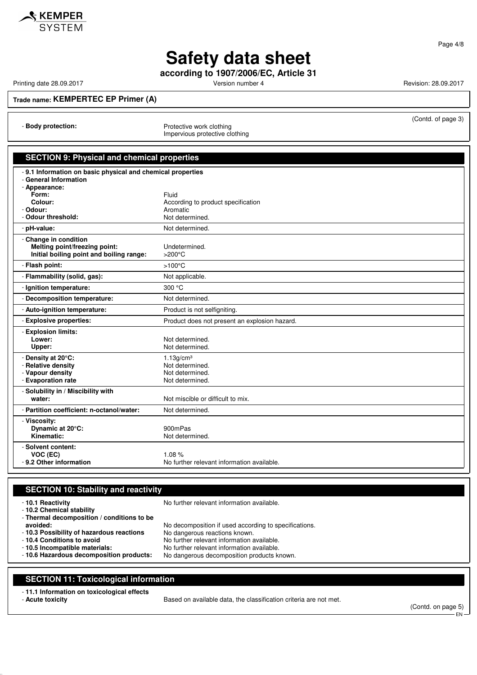

Page 4/8

# **Safety data sheet**

**according to 1907/2006/EC, Article 31**

Printing date 28.09.2017 **Version number 4** Version number 4 Revision: 28.09.2017

(Contd. of page 3)

**Trade name: KEMPERTEC EP Primer (A)**

- **Body protection:** Protective work clothing

Impervious protective clothing

| <b>SECTION 9: Physical and chemical properties</b>                                                     |                                                |  |
|--------------------------------------------------------------------------------------------------------|------------------------------------------------|--|
| 9.1 Information on basic physical and chemical properties<br><b>General Information</b><br>Appearance: |                                                |  |
| Form:                                                                                                  | Fluid                                          |  |
| Colour:<br>Odour:                                                                                      | According to product specification<br>Aromatic |  |
| <b>Odour threshold:</b>                                                                                | Not determined.                                |  |
| pH-value:                                                                                              | Not determined.                                |  |
| Change in condition                                                                                    |                                                |  |
| Melting point/freezing point:<br>Initial boiling point and boiling range:                              | Undetermined.<br>$>200^{\circ}$ C              |  |
| Flash point:                                                                                           | $>100^{\circ}$ C                               |  |
| Flammability (solid, gas):                                                                             | Not applicable.                                |  |
| Ignition temperature:                                                                                  | 300 °C                                         |  |
| Decomposition temperature:                                                                             | Not determined.                                |  |
| Auto-ignition temperature:                                                                             | Product is not selfigniting.                   |  |
| <b>Explosive properties:</b>                                                                           | Product does not present an explosion hazard.  |  |
| <b>Explosion limits:</b><br>Lower:                                                                     | Not determined.                                |  |
| Upper:                                                                                                 | Not determined.                                |  |
| Density at 20°C:                                                                                       | 1.13q/cm <sup>3</sup>                          |  |
| <b>Relative density</b>                                                                                | Not determined.                                |  |
| Vapour density<br><b>Evaporation rate</b>                                                              | Not determined.<br>Not determined.             |  |
| Solubility in / Miscibility with                                                                       |                                                |  |
| water:                                                                                                 | Not miscible or difficult to mix.              |  |
| Partition coefficient: n-octanol/water:                                                                | Not determined.                                |  |
| - Viscosity:                                                                                           |                                                |  |
| Dynamic at 20°C:                                                                                       | 900mPas                                        |  |
| Kinematic:                                                                                             | Not determined.                                |  |
| Solvent content:                                                                                       |                                                |  |
| VOC (EC)                                                                                               | 1.08%                                          |  |
| 9.2 Other information                                                                                  | No further relevant information available.     |  |

### **SECTION 10: Stability and reactivity**

- 
- **10.2 Chemical stability**
- **Thermal decomposition / conditions to be**
- **10.1 Reactivity** No further relevant information available.
- 

- **10.3 Possibility of hazardous reactions**<br>- 10.4 Conditions to avoid

- 
- **avoided:** No decomposition if used according to specifications.<br>**10.3 Possibility of hazardous reactions** No dangerous reactions known.
	-
	-
- **10.4 Conditions to avoid**<br> **10.5 Incompatible materials:** No further relevant information available.<br>
No further relevant information available. - **10.5 Incompatible materials:** No further relevant information available. No dangerous decomposition products known.
- 

### **SECTION 11: Toxicological information**

- **11.1 Information on toxicological effects**
- 

Based on available data, the classification criteria are not met.

(Contd. on page 5) EN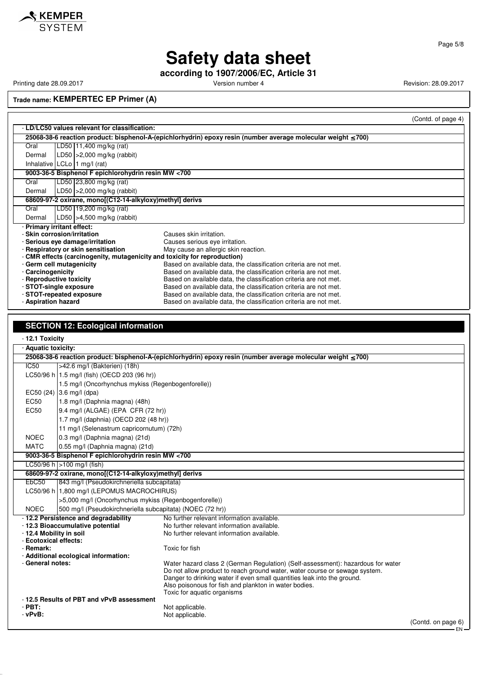

**according to 1907/2006/EC, Article 31**

Printing date 28.09.2017 **Version number 4 Version number 4** Revision: 28.09.2017

**Trade name: KEMPERTEC EP Primer (A)**

|                                                                           |                                                                                                                    | (Contd. of page 4)                                                |  |
|---------------------------------------------------------------------------|--------------------------------------------------------------------------------------------------------------------|-------------------------------------------------------------------|--|
|                                                                           | - LD/LC50 values relevant for classification:                                                                      |                                                                   |  |
|                                                                           | 25068-38-6 reaction product: bisphenol-A-(epichlorhydrin) epoxy resin (number average molecular weight $\leq$ 700) |                                                                   |  |
| Oral                                                                      | LD50 11,400 mg/kg (rat)                                                                                            |                                                                   |  |
| Dermal                                                                    | LD50 $ >2,000$ mg/kg (rabbit)                                                                                      |                                                                   |  |
|                                                                           | Inhalative $ LCLo 1 mg/l$ (rat)                                                                                    |                                                                   |  |
| 9003-36-5 Bisphenol F epichlorohydrin resin MW <700                       |                                                                                                                    |                                                                   |  |
| Oral                                                                      | LD50 23,800 mg/kg (rat)                                                                                            |                                                                   |  |
| Dermal                                                                    | LD50 $ >2,000$ mg/kg (rabbit)                                                                                      |                                                                   |  |
| 68609-97-2 oxirane, mono[(C12-14-alkyloxy)methyl] derivs                  |                                                                                                                    |                                                                   |  |
| Oral                                                                      | LD50 19,200 mg/kg (rat)                                                                                            |                                                                   |  |
| Dermal                                                                    | LD50 $ >4,500$ mg/kg (rabbit)                                                                                      |                                                                   |  |
|                                                                           | - Primary irritant effect:                                                                                         |                                                                   |  |
|                                                                           | - Skin corrosion/irritation                                                                                        | Causes skin irritation.                                           |  |
|                                                                           | - Serious eye damage/irritation                                                                                    | Causes serious eye irritation.                                    |  |
|                                                                           | - Respiratory or skin sensitisation                                                                                | May cause an allergic skin reaction.                              |  |
| - CMR effects (carcinogenity, mutagenicity and toxicity for reproduction) |                                                                                                                    |                                                                   |  |
|                                                                           | - Germ cell mutagenicity                                                                                           | Based on available data, the classification criteria are not met. |  |
| - Carcinogenicity                                                         |                                                                                                                    | Based on available data, the classification criteria are not met. |  |
|                                                                           | - Reproductive toxicity                                                                                            | Based on available data, the classification criteria are not met. |  |
|                                                                           | - STOT-single exposure                                                                                             | Based on available data, the classification criteria are not met. |  |
|                                                                           | - STOT-repeated exposure                                                                                           | Based on available data, the classification criteria are not met. |  |
| - Aspiration hazard                                                       |                                                                                                                    | Based on available data, the classification criteria are not met. |  |

#### **SECTION 12: Ecological information**

- **12.1 Toxicity** - **Aquatic toxicity: 25068-38-6 reaction product: bisphenol-A-(epichlorhydrin) epoxy resin (number average molecular weight** ≤ **700)** IC50 >42.6 mg/l (Bakterien) (18h) LC50/96 h 1.5 mg/l (fish) (OECD 203 (96 hr)) 1.5 mg/l (Oncorhynchus mykiss (Regenbogenforelle)) EC50 (24) 3.6 mg/l (dpa) EC50 1.8 mg/l (Daphnia magna) (48h) EC50 9.4 mg/l (ALGAE) (EPA CFR (72 hr)) 1.7 mg/l (daphnia) (OECD 202 (48 hr)) 11 mg/l (Selenastrum capricornutum) (72h) NOEC | 0.3 mg/l (Daphnia magna) (21d) MATC | 0.55 mg/l (Daphnia magna) (21d) **9003-36-5 Bisphenol F epichlorohydrin resin MW <700** LC50/96 h >100 mg/l (fish) **68609-97-2 oxirane, mono[(C12-14-alkyloxy)methyl] derivs** EbC50 843 mg/l (Pseudokirchneriella subcapitata) LC50/96 h 1,800 mg/l (LEPOMUS MACROCHIRUS) >5,000 mg/l (Oncorhynchus mykiss (Regenbogenforelle)) NOEC 500 mg/l (Pseudokirchneriella subcapitata) (NOEC (72 hr)) - **12.2 Persistence and degradability** No further relevant information available. - **12.3 Bioaccumulative potential** No further relevant information available.<br>- **12.4 Mobility in soil** No further relevant information available. No further relevant information available. - **Ecotoxical effects:** - **Remark:** Toxic for fish - **Additional ecological information:** - **General notes:** Water hazard class 2 (German Regulation) (Self-assessment): hazardous for water Do not allow product to reach ground water, water course or sewage system. Danger to drinking water if even small quantities leak into the ground. Also poisonous for fish and plankton in water bodies. Toxic for aquatic organisms - **12.5 Results of PBT and vPvB assessment** - **PBT:**<br>
PV**B:** Not applicable.<br>
Not applicable. Not applicable. (Contd. on page 6)

EN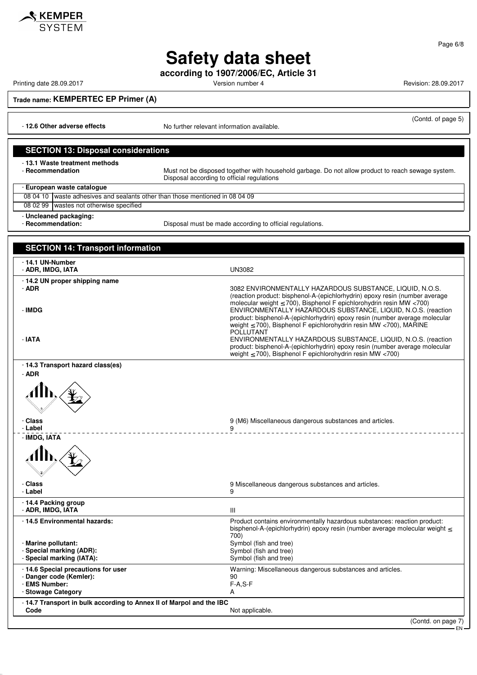

**according to 1907/2006/EC, Article 31**

KEMPER

Printing date 28.09.2017 **Version number 4 Version number 4** Revision: 28.09.2017

Page 6/8

**Trade name: KEMPERTEC EP Primer (A)**

- **12.6 Other adverse effects** No further relevant information available.

#### (Contd. of page 5)

#### **SECTION 13: Disposal considerations**

- **13.1 Waste treatment methods**

Must not be disposed together with household garbage. Do not allow product to reach sewage system. Disposal according to official regulations

- **European waste catalogue**

08 04 10 waste adhesives and sealants other than those mentioned in 08 04 09 08 02 99 wastes not otherwise specified - **Uncleaned packaging:**

- **Recommendation:** Disposal must be made according to official regulations.

### **SECTION 14: Transport information** - **14.1 UN-Number** - **ADR, IMDG, IATA** UN3082 - **14.2 UN proper shipping name** - **ADR** 3082 ENVIRONMENTALLY HAZARDOUS SUBSTANCE, LIQUID, N.O.S. (reaction product: bisphenol-A-(epichlorhydrin) epoxy resin (number average molecular weight  $≤ 700$ , Bisphenol F epichlorohydrin resin MW <700) - **IMDG** ENVIRONMENTALLY HAZARDOUS SUBSTANCE, LIQUID, N.O.S. (reaction product: bisphenol-A-(epichlorhydrin) epoxy resin (number average molecular weight ≤ 700), Bisphenol F epichlorohydrin resin MW <700), MARINE POLLUTANT - **IATA** ENVIRONMENTALLY HAZARDOUS SUBSTANCE, LIQUID, N.O.S. (reaction product: bisphenol-A-(epichlorhydrin) epoxy resin (number average molecular weight ≤ 700), Bisphenol F epichlorohydrin resin MW <700) - **14.3 Transport hazard class(es)** - **ADR Class** Chass **Class** 9 (M6) Miscellaneous dangerous substances and articles. - **Label** 9 \_\_\_\_\_\_\_\_\_\_\_\_\_\_\_\_\_\_\_\_\_\_\_\_\_\_\_\_\_ - **IMDG, IATA** - **Class** 9 Miscellaneous dangerous substances and articles. - **Label** 9 - **14.4 Packing group** - **ADR, IMDG, IATA** III - **14.5 Environmental hazards:** Product contains environmentally hazardous substances: reaction product: bisphenol-A-(epichlorhydrin) epoxy resin (number average molecular weight ≤ 700) - **Marine pollutant:** Symbol (fish and tree) - **Special marking (ADR):**<br> **Special marking (IATA):** Symbol (fish and tree) Symbol (fish and tree) - Special marking (IATA): - **14.6 Special precautions for user** Warning: Miscellaneous dangerous substances and articles. - **Danger code (Kemler):** 90 - **EMS Number:** F-A,S-F-A,S-F-A,S-F-A,S-F-A,S-F-A,S-F-A,S-F-A,S-F-A,S-F-A,S-F-A,S-F-A,S-F-A,S-F-A,S-F-A,S-F-A,S-F-A,S-F-A,S-F-A,S-F-A,S-F-A,S-F-A,S-F-A,S-F-A,S-F-A,S-F-A,S-F-A,S-F-A,S-F-A,S-F-A,S-F-A,S-F-A,S-F-A,S-F-A,S-F-**- Stowage Category** - **14.7 Transport in bulk according to Annex II of Marpol and the IBC** Not applicable.

(Contd. on page 7)

EN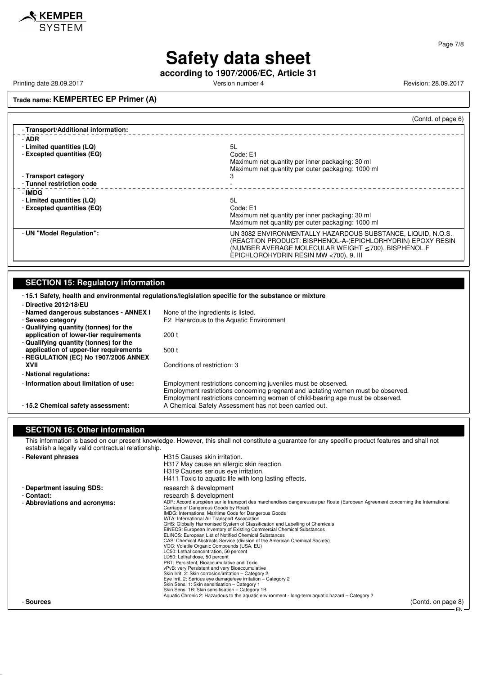

**according to 1907/2006/EC, Article 31**

Printing date 28.09.2017 **Version number 4** Version number 4 Revision: 28.09.2017

### **Trade name: KEMPERTEC EP Primer (A)**

|                                     | (Contd. of page 6)                                                                                                                                                                      |
|-------------------------------------|-----------------------------------------------------------------------------------------------------------------------------------------------------------------------------------------|
| - Transport/Additional information: |                                                                                                                                                                                         |
| - ADR                               |                                                                                                                                                                                         |
| - Limited quantities (LQ)           | 5L                                                                                                                                                                                      |
| - Excepted quantities (EQ)          | Code: E1                                                                                                                                                                                |
|                                     | Maximum net quantity per inner packaging: 30 ml                                                                                                                                         |
|                                     | Maximum net quantity per outer packaging: 1000 ml                                                                                                                                       |
| - Transport category                | з                                                                                                                                                                                       |
| - Tunnel restriction code           |                                                                                                                                                                                         |
| - IMDG                              |                                                                                                                                                                                         |
| - Limited quantities (LQ)           | 5L                                                                                                                                                                                      |
| - Excepted quantities (EQ)          | Code: E1                                                                                                                                                                                |
|                                     | Maximum net quantity per inner packaging: 30 ml                                                                                                                                         |
|                                     | Maximum net quantity per outer packaging: 1000 ml                                                                                                                                       |
| - UN "Model Regulation":            | UN 3082 ENVIRONMENTALLY HAZARDOUS SUBSTANCE, LIQUID, N.O.S.<br>(REACTION PRODUCT: BISPHENOL-A-(EPICHLORHYDRIN) EPOXY RESIN<br>(NUMBER AVERAGE MOLECULAR WEIGHT $\leq$ 700), BISPHENOL F |
|                                     | EPICHLOROHYDRIN RESIN MW <700), 9, III                                                                                                                                                  |

## **SECTION 15: Regulatory information**

| -15.1 Safety, health and environmental regulations/legislation specific for the substance or mixture |                                                                                                                                                                                                                                        |
|------------------------------------------------------------------------------------------------------|----------------------------------------------------------------------------------------------------------------------------------------------------------------------------------------------------------------------------------------|
| - Directive 2012/18/EU<br>- Named dangerous substances - ANNEX I                                     | None of the ingredients is listed.                                                                                                                                                                                                     |
| - Seveso category                                                                                    | E2 Hazardous to the Aquatic Environment                                                                                                                                                                                                |
| - Qualifying quantity (tonnes) for the                                                               |                                                                                                                                                                                                                                        |
| application of lower-tier requirements                                                               | 200 <sub>t</sub>                                                                                                                                                                                                                       |
| - Qualifying quantity (tonnes) for the                                                               |                                                                                                                                                                                                                                        |
| application of upper-tier requirements                                                               | 500t                                                                                                                                                                                                                                   |
| - REGULATION (EC) No 1907/2006 ANNEX                                                                 |                                                                                                                                                                                                                                        |
| XVII                                                                                                 | Conditions of restriction: 3                                                                                                                                                                                                           |
| - National regulations:                                                                              |                                                                                                                                                                                                                                        |
| - Information about limitation of use:                                                               | Employment restrictions concerning juveniles must be observed.<br>Employment restrictions concerning pregnant and lactating women must be observed.<br>Employment restrictions concerning women of child-bearing age must be observed. |
| -15.2 Chemical safety assessment:                                                                    | A Chemical Safety Assessment has not been carried out.                                                                                                                                                                                 |

#### **SECTION 16: Other information**

This information is based on our present knowledge. However, this shall not constitute a guarantee for any specific product features and shall not establish a legally valid contractual relationship.

| - Relevant phrases                                                       | H315 Causes skin irritation.<br>H317 May cause an allergic skin reaction.<br>H319 Causes serious eye irritation.<br>H411 Toxic to aguatic life with long lasting effects.                                                                                                                                                                                                                                                                                                                                                                                                                                                                                                                                                                                                                                                                                                                                                                                                                                                                                                                                                                                                                    |
|--------------------------------------------------------------------------|----------------------------------------------------------------------------------------------------------------------------------------------------------------------------------------------------------------------------------------------------------------------------------------------------------------------------------------------------------------------------------------------------------------------------------------------------------------------------------------------------------------------------------------------------------------------------------------------------------------------------------------------------------------------------------------------------------------------------------------------------------------------------------------------------------------------------------------------------------------------------------------------------------------------------------------------------------------------------------------------------------------------------------------------------------------------------------------------------------------------------------------------------------------------------------------------|
| - Department issuing SDS:<br>- Contact:<br>- Abbreviations and acronyms: | research & development<br>research & development<br>ADR: Accord européen sur le transport des marchandises dangereuses par Route (European Agreement concerning the International<br>Carriage of Dangerous Goods by Road)<br>IMDG: International Maritime Code for Dangerous Goods<br>IATA: International Air Transport Association<br>GHS: Globally Harmonised System of Classification and Labelling of Chemicals<br>EINECS: European Inventory of Existing Commercial Chemical Substances<br>ELINCS: European List of Notified Chemical Substances<br>CAS: Chemical Abstracts Service (division of the American Chemical Society)<br>VOC: Volatile Organic Compounds (USA, EU)<br>LC50: Lethal concentration, 50 percent<br>LD50: Lethal dose, 50 percent<br>PBT: Persistent, Bioaccumulative and Toxic<br>vPvB: very Persistent and very Bioaccumulative<br>Skin Irrit. 2: Skin corrosion/irritation - Category 2<br>Eye Irrit. 2: Serious eye damage/eye irritation - Category 2<br>Skin Sens. 1: Skin sensitisation - Category 1<br>Skin Sens. 1B: Skin sensitisation - Category 1B<br>Aquatic Chronic 2: Hazardous to the aquatic environment - long-term aquatic hazard – Category 2 |
| - Sources                                                                | (Contd. on page 8)<br>— EN                                                                                                                                                                                                                                                                                                                                                                                                                                                                                                                                                                                                                                                                                                                                                                                                                                                                                                                                                                                                                                                                                                                                                                   |